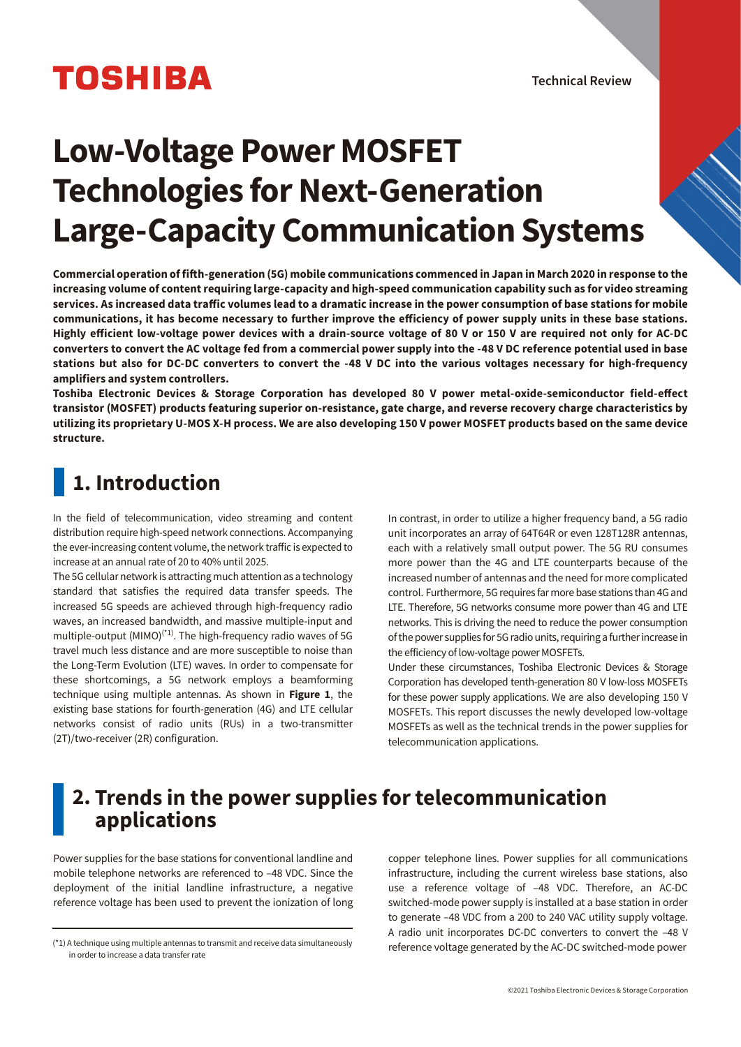# **TOSHIBA**

Technical Review

# **Low-Voltage Power MOSFET Technologies for Next-Generation Large-Capacity Communication Systems**

**Commercial operation of fih-generation (5G) mobile communications commenced in Japan in March 2020 in response to the increasing volume of content requiring large-capacity and high-speed communication capability such as for video streaming services. As increased data traic volumes lead to a dramatic increase in the power consumption of base stations for mobile**  communications, it has become necessary to further improve the efficiency of power supply units in these base stations. Highly efficient low-voltage power devices with a drain-source voltage of 80 V or 150 V are required not only for AC-DC **converters to convert the AC voltage fed from a commercial power supply into the -48 V DC reference potential used in base stations but also for DC-DC converters to convert the -48 V DC into the various voltages necessary for high-frequency amplifiers and system controllers.**

Toshiba Electronic Devices & Storage Corporation has developed 80 V power metal-oxide-semiconductor field-effect **transistor (MOSFET) products featuring superior on-resistance, gate charge, and reverse recovery charge characteristics by utilizing its proprietary U-MOS X-H process. We are also developing 150 V power MOSFET products based on the same device structure.**

## **1. Introduction**

In the field of telecommunication, video streaming and content distribution require high-speed network connections. Accompanying the ever-increasing content volume, the network traffic is expected to increase at an annual rate of 20 to 40% until 2025.

The 5G cellular network is attracting much attention as a technology standard that satisfies the required data transfer speeds. The increased 5G speeds are achieved through high-frequency radio waves, an increased bandwidth, and massive multiple-input and multiple-output (MIMO)<sup>(\*1)</sup>. The high-frequency radio waves of 5G travel much less distance and are more susceptible to noise than the Long-Term Evolution (LTE) waves. In order to compensate for these shortcomings, a 5G network employs a beamforming technique using multiple antennas. As shown in **Figure 1**, the existing base stations for fourth-generation (4G) and LTE cellular networks consist of radio units (RUs) in a two-transmitter (2T)/two-receiver (2R) configuration.

In contrast, in order to utilize a higher frequency band, a 5G radio unit incorporates an array of 64T64R or even 128T128R antennas, each with a relatively small output power. The 5G RU consumes more power than the 4G and LTE counterparts because of the increased number of antennas and the need for more complicated control. Furthermore, 5G requires far more base stations than 4G and LTE. Therefore, 5G networks consume more power than 4G and LTE networks. This is driving the need to reduce the power consumption of the power supplies for 5G radio units, requiring a further increase in the efficiency of low-voltage power MOSFETs.

Under these circumstances, Toshiba Electronic Devices & Storage Corporation has developed tenth-generation 80 V low-loss MOSFETs for these power supply applications. We are also developing 150 V MOSFETs. This report discusses the newly developed low-voltage MOSFETs as well as the technical trends in the power supplies for telecommunication applications.

## **2. Trends in the power supplies for telecommunication applications**

Power supplies for the base stations for conventional landline and mobile telephone networks are referenced to –48 VDC. Since the deployment of the initial landline infrastructure, a negative reference voltage has been used to prevent the ionization of long

copper telephone lines. Power supplies for all communications infrastructure, including the current wireless base stations, also use a reference voltage of –48 VDC. Therefore, an AC-DC switched-mode power supply is installed at a base station in order to generate –48 VDC from a 200 to 240 VAC utility supply voltage. A radio unit incorporates DC-DC converters to convert the –48 V reference voltage generated by the AC-DC switched-mode power

<sup>(\*1)</sup> A technique using multiple antennas to transmit and receive data simultaneously in order to increase a data transfer rate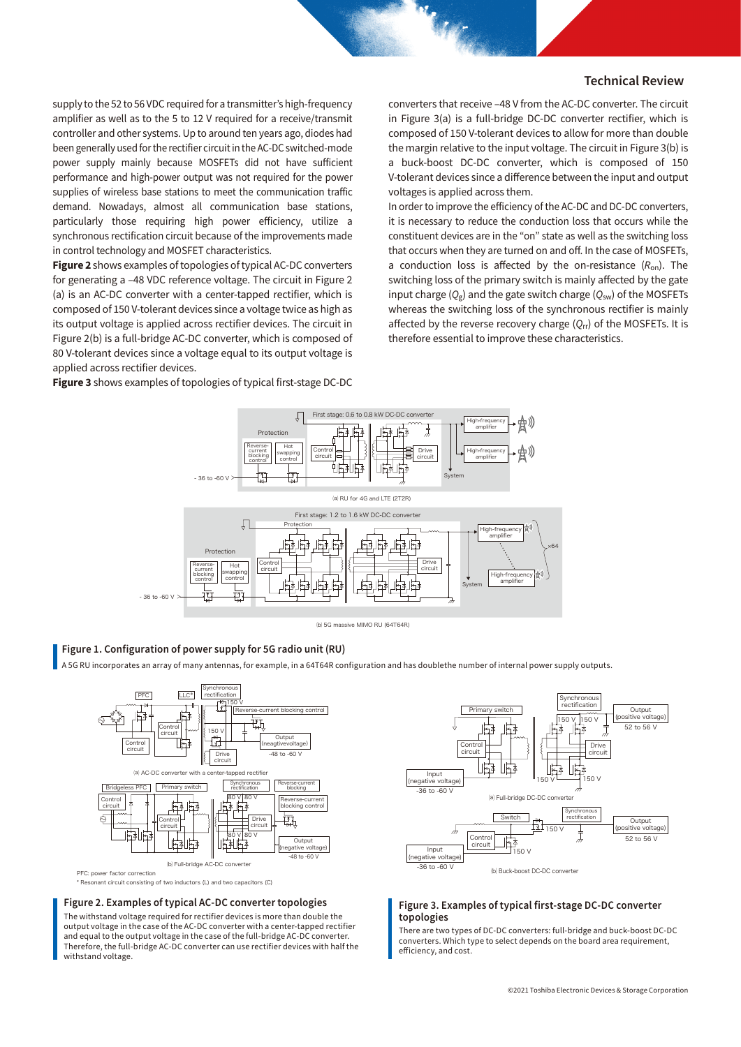#### Technical Review

supply to the 52 to 56 VDC required for a transmitter's high-frequency amplifier as well as to the 5 to 12 V required for a receive/transmit controller and other systems. Up to around ten years ago, diodes had been generally used for the rectifier circuit in the AC-DC switched-mode power supply mainly because MOSFETs did not have sufficient performance and high-power output was not required for the power supplies of wireless base stations to meet the communication traffic demand. Nowadays, almost all communication base stations, particularly those requiring high power efficiency, utilize a synchronous rectification circuit because of the improvements made in control technology and MOSFET characteristics.

**Figure 2** shows examples of topologies of typical AC-DC converters for generating a –48 VDC reference voltage. The circuit in Figure 2 (a) is an AC-DC converter with a center-tapped rectifier, which is composed of 150 V-tolerant devices since a voltage twice as high as its output voltage is applied across rectifier devices. The circuit in Figure 2(b) is a full-bridge AC-DC converter, which is composed of 80 V-tolerant devices since a voltage equal to its output voltage is applied across rectifier devices.

**Figure 3** shows examples of topologies of typical first-stage DC-DC

converters that receive –48 V from the AC-DC converter. The circuit in Figure 3(a) is a full-bridge DC-DC converter rectifier, which is composed of 150 V-tolerant devices to allow for more than double the margin relative to the input voltage. The circuit in Figure 3(b) is a buck-boost DC-DC converter, which is composed of 150 V-tolerant devices since a difference between the input and output voltages is applied across them.

In order to improve the efficiency of the AC-DC and DC-DC converters, it is necessary to reduce the conduction loss that occurs while the constituent devices are in the "on" state as well as the switching loss that occurs when they are turned on and off. In the case of MOSFETs, a conduction loss is affected by the on-resistance  $(R_{on})$ . The switching loss of the primary switch is mainly affected by the gate input charge  $(Q_g)$  and the gate switch charge  $(Q_{sw})$  of the MOSFETs whereas the switching loss of the synchronous rectifier is mainly affected by the reverse recovery charge  $(Q<sub>rr</sub>)$  of the MOSFETs. It is therefore essential to improve these characteristics.



#### ⒝ 5G massive MIMO RU (64T64R)

#### Figure 1. Configuration of power supply for 5G radio unit (RU)

A 5G RU incorporates an array of many antennas, for example, in a 64T64R configuration and has doublethe number of internal power supply outputs.



\* Resonant circuit consisting of two inductors (L) and two capacitors (C)

#### Figure 2. Examples of typical AC-DC converter topologies

The withstand voltage required for rectifier devices is more than double the output voltage in the case of the AC-DC converter with a center-tapped rectifier and equal to the output voltage in the case of the full-bridge AC-DC converter. Therefore, the full-bridge AC-DC converter can use rectifier devices with half the withstand voltage.



#### Figure 3. Examples of typical first-stage DC-DC converter topologies

There are two types of DC-DC converters: full-bridge and buck-boost DC-DC converters. Which type to select depends on the board area requirement, efficiency, and cost.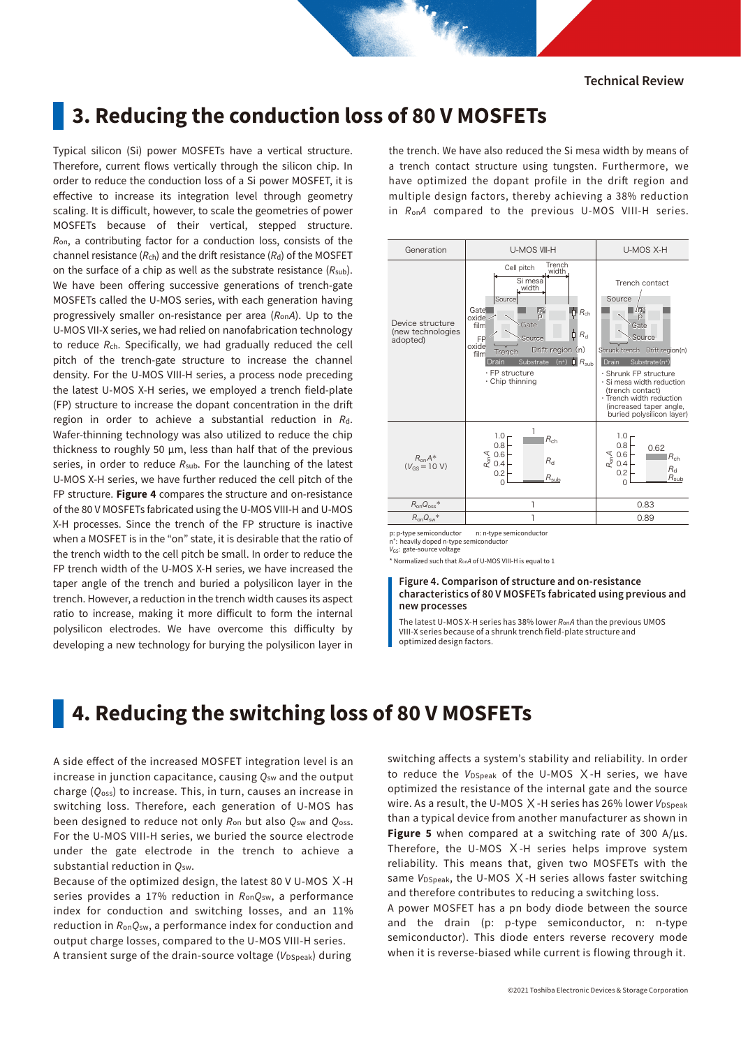### **3. Reducing the conduction loss of 80 V MOSFETs**

Typical silicon (Si) power MOSFETs have a vertical structure. Therefore, current flows vertically through the silicon chip. In order to reduce the conduction loss of a Si power MOSFET, it is effective to increase its integration level through geometry scaling. It is difficult, however, to scale the geometries of power MOSFETs because of their vertical, stepped structure. *R*on, a contributing factor for a conduction loss, consists of the channel resistance  $(R<sub>ch</sub>)$  and the drift resistance  $(R<sub>d</sub>)$  of the MOSFET on the surface of a chip as well as the substrate resistance (*R*sub). We have been offering successive generations of trench-gate MOSFETs called the U-MOS series, with each generation having progressively smaller on-resistance per area (*R*on*A*). Up to the U-MOS VII-X series, we had relied on nanofabrication technology to reduce *R*ch. Specifically, we had gradually reduced the cell pitch of the trench-gate structure to increase the channel density. For the U-MOS VIII-H series, a process node preceding the latest U-MOS X-H series, we employed a trench field-plate (FP) structure to increase the dopant concentration in the dri region in order to achieve a substantial reduction in *R*d. Wafer-thinning technology was also utilized to reduce the chip thickness to roughly 50 μm, less than half that of the previous series, in order to reduce *R*sub. For the launching of the latest U-MOS X-H series, we have further reduced the cell pitch of the FP structure. **Figure 4** compares the structure and on-resistance of the 80 V MOSFETs fabricated using the U-MOS VIII-H and U-MOS X-H processes. Since the trench of the FP structure is inactive when a MOSFET is in the "on" state, it is desirable that the ratio of the trench width to the cell pitch be small. In order to reduce the FP trench width of the U-MOS X-H series, we have increased the taper angle of the trench and buried a polysilicon layer in the trench. However, a reduction in the trench width causes its aspect ratio to increase, making it more difficult to form the internal polysilicon electrodes. We have overcome this difficulty by developing a new technology for burying the polysilicon layer in

the trench. We have also reduced the Si mesa width by means of a trench contact structure using tungsten. Furthermore, we have optimized the dopant profile in the drift region and multiple design factors, thereby achieving a 38% reduction in *R*on*A* compared to the previous U-MOS VIII-H series.



p: p-type semiconductor n: n-type semiconductor

n+ : heavily doped n-type semiconductor *V<sub>GS</sub>*: gate-source voltage

\* Normalized such that *R*on*A* of U-MOS VIII-H is equal to 1

#### Figure 4. Comparison of structure and on-resistance characteristics of 80 V MOSFETs fabricated using previous and new processes

The latest U-MOS X-H series has 38% lower *R*on*A* than the previous UMOS VIII-X series because of a shrunk trench field-plate structure and optimized design factors.

## **4. Reducing the switching loss of 80 V MOSFETs**

A side effect of the increased MOSFET integration level is an increase in junction capacitance, causing *Q*sw and the output charge (*Q*oss) to increase. This, in turn, causes an increase in switching loss. Therefore, each generation of U-MOS has been designed to reduce not only *R*on but also *Q*sw and *Q*oss. For the U-MOS VIII-H series, we buried the source electrode under the gate electrode in the trench to achieve a substantial reduction in *Q*sw.

Because of the optimized design, the latest 80 V U-MOS Ⅹ-H series provides a 17% reduction in *R*on*Q*sw, a performance index for conduction and switching losses, and an 11% reduction in *R*on*Q*sw, a performance index for conduction and output charge losses, compared to the U-MOS VIII-H series. A transient surge of the drain-source voltage (VDSpeak) during

switching affects a system's stability and reliability. In order to reduce the *V*<sub>DSpeak</sub> of the U-MOS X-H series, we have optimized the resistance of the internal gate and the source wire. As a result, the U-MOS X-H series has 26% lower V<sub>DSpeak</sub> than a typical device from another manufacturer as shown in **Figure 5** when compared at a switching rate of 300 A/μs. Therefore, the U-MOS Ⅹ-H series helps improve system reliability. This means that, given two MOSFETs with the same *V*<sub>DSpeak</sub>, the U-MOS X-H series allows faster switching and therefore contributes to reducing a switching loss.

A power MOSFET has a pn body diode between the source and the drain (p: p-type semiconductor, n: n-type semiconductor). This diode enters reverse recovery mode when it is reverse-biased while current is flowing through it.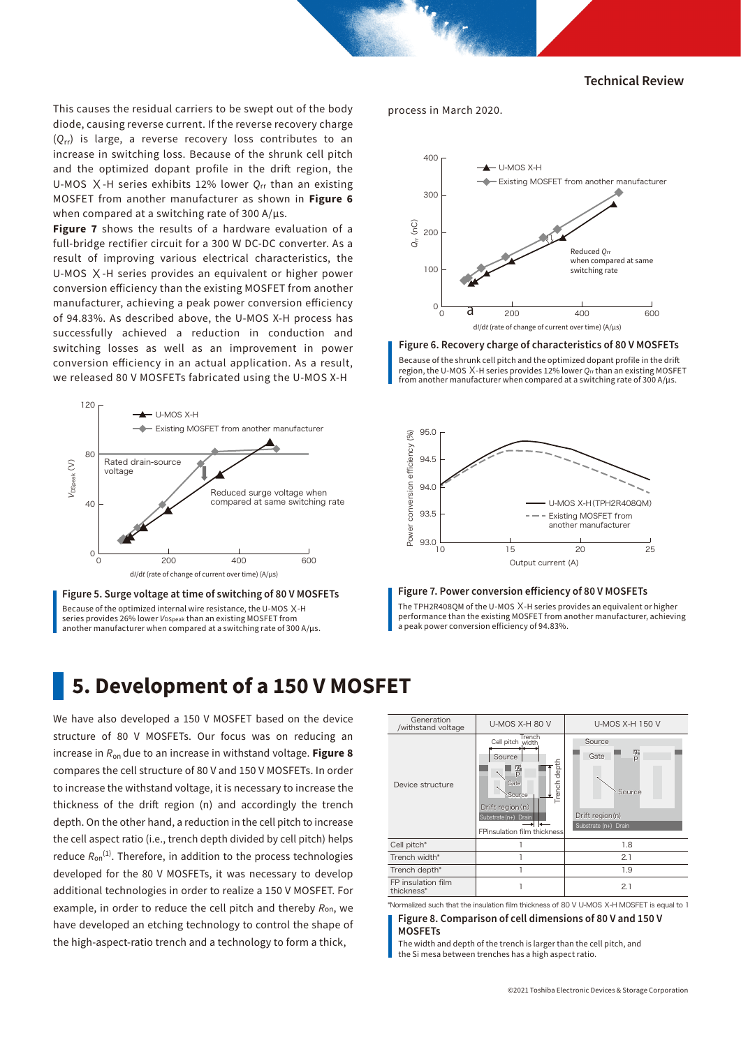#### Technical Review

This causes the residual carriers to be swept out of the body diode, causing reverse current. If the reverse recovery charge (*Q*rr) is large, a reverse recovery loss contributes to an increase in switching loss. Because of the shrunk cell pitch and the optimized dopant profile in the drift region, the U-MOS Ⅹ-H series exhibits 12% lower *Q*rr than an existing MOSFET from another manufacturer as shown in **Figure 6** when compared at a switching rate of 300 A/μs.

**Figure 7** shows the results of a hardware evaluation of a full-bridge rectifier circuit for a 300 W DC-DC converter. As a result of improving various electrical characteristics, the U-MOS Ⅹ-H series provides an equivalent or higher power conversion efficiency than the existing MOSFET from another manufacturer, achieving a peak power conversion efficiency of 94.83%. As described above, the U-MOS X-H process has successfully achieved a reduction in conduction and switching losses as well as an improvement in power conversion efficiency in an actual application. As a result, we released 80 V MOSFETs fabricated using the U-MOS X-H



Figure 5. Surge voltage at time of switching of 80 V MOSFETs Because of the optimized internal wire resistance, the U-MOS Ⅹ-H series provides 26% lower *V*<sub>DSpeak</sub> than an existing MOSFET from another manufacturer when compared at a switching rate of 300 A/μs.

process in March 2020.



#### Figure 6. Recovery charge of characteristics of 80 V MOSFETs Because of the shrunk cell pitch and the optimized dopant profile in the dri

region, the U-MOS Ⅹ-H series provides 12% lower *Q*rr than an existing MOSFET from another manufacturer when compared at a switching rate of 300 A/μs.



#### Figure 7. Power conversion efficiency of 80 V MOSFETs

The TPH2R408QM of the U-MOS Ⅹ-H series provides an equivalent or higher performance than the existing MOSFET from another manufacturer, achieving a peak power conversion efficiency of 94.83%

## **5. Development of a 150 V MOSFET**

We have also developed a 150 V MOSFET based on the device structure of 80 V MOSFETs. Our focus was on reducing an increase in *R*on due to an increase in withstand voltage. **Figure 8**  compares the cell structure of 80 V and 150 V MOSFETs. In order to increase the withstand voltage, it is necessary to increase the thickness of the drift region  $(n)$  and accordingly the trench depth. On the other hand, a reduction in the cell pitch to increase the cell aspect ratio (i.e., trench depth divided by cell pitch) helps reduce *R*<sub>on</sub><sup>(1)</sup>. Therefore, in addition to the process technologies developed for the 80 V MOSFETs, it was necessary to develop additional technologies in order to realize a 150 V MOSFET. For example, in order to reduce the cell pitch and thereby *R*on, we have developed an etching technology to control the shape of the high-aspect-ratio trench and a technology to form a thick,

| Generation<br>/withstand voltage | U-MOS X-H 80 V                                                                                                                                   | U-MOS X-H 150 V                                                            |
|----------------------------------|--------------------------------------------------------------------------------------------------------------------------------------------------|----------------------------------------------------------------------------|
| Device structure                 | Cell pitch Trench<br>Source<br>depth<br>可口<br>Trench<br>Gate<br>Source<br>Drift region(n)<br>Substrate (n+) Drain<br>FPinsulation film thickness | Source<br>耐り<br>Gate<br>Source<br>Drift region (n)<br>Substrate (n+) Drain |
| Cell pitch*                      |                                                                                                                                                  | 1.8                                                                        |
| Trench width*                    |                                                                                                                                                  | 2.1                                                                        |
| Trench depth*                    |                                                                                                                                                  | 1.9                                                                        |
| FP insulation film<br>thickness* |                                                                                                                                                  | 2.1                                                                        |

Figure 8. Comparison of cell dimensions of 80 V and 150 V MOSFETs \*Normalized such that the insulation film thickness of 80 V U-MOS Ⅹ-H MOSFET is equal to 1

The width and depth of the trench is larger than the cell pitch, and the Si mesa between trenches has a high aspect ratio.